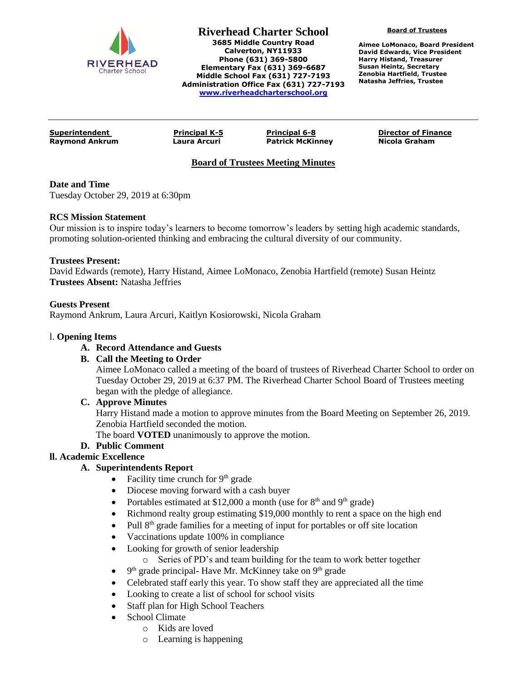

**Riverhead Charter School 3685 Middle Country Road Calverton, NY11933 Phone (631) 369-5800 Elementary Fax (631) 369-6687 Middle School Fax (631) 727-7193 Administration Office Fax (631) 727-7193 [www.riverheadcharterschool.org](http://www.riverheadcharterschool.org/)**

**Board of Trustees**

**Aimee LoMonaco, Board President David Edwards, Vice President Harry Histand, Treasurer Susan Heintz, Secretary Zenobia Hartfield, Trustee Natasha Jeffries, Trustee**

**Raymond Ankrum Laura Arcuri Patrick McKinney Nicola Graham**

**Superintendent Principal K-5 Principal 6-8 Director of Finance**

# **Board of Trustees Meeting Minutes**

# **Date and Time**

Tuesday October 29, 2019 at 6:30pm

#### **RCS Mission Statement**

Our mission is to inspire today's learners to become tomorrow's leaders by setting high academic standards, promoting solution-oriented thinking and embracing the cultural diversity of our community.

#### **Trustees Present:**

David Edwards (remote), Harry Histand, Aimee LoMonaco, Zenobia Hartfield (remote) Susan Heintz **Trustees Absent:** Natasha Jeffries

# **Guests Present**

Raymond Ankrum, Laura Arcuri, Kaitlyn Kosiorowski, Nicola Graham

#### l. **Opening Items**

# **A. Record Attendance and Guests**

# **B. Call the Meeting to Order**

Aimee LoMonaco called a meeting of the board of trustees of Riverhead Charter School to order on Tuesday October 29, 2019 at 6:37 PM. The Riverhead Charter School Board of Trustees meeting began with the pledge of allegiance.

# **C. Approve Minutes**

Harry Histand made a motion to approve minutes from the Board Meeting on September 26, 2019. Zenobia Hartfield seconded the motion.

The board **VOTED** unanimously to approve the motion.

# **D. Public Comment**

# **ll. Academic Excellence**

# **A. Superintendents Report**

- Facility time crunch for  $9<sup>th</sup>$  grade
- Diocese moving forward with a cash buyer
- Portables estimated at \$12,000 a month (use for  $8<sup>th</sup>$  and  $9<sup>th</sup>$  grade)
- Richmond realty group estimating \$19,000 monthly to rent a space on the high end
- Pull 8<sup>th</sup> grade families for a meeting of input for portables or off site location
- Vaccinations update 100% in compliance
- Looking for growth of senior leadership
	- o Series of PD's and team building for the team to work better together
- $\bullet$  9<sup>th</sup> grade principal-Have Mr. McKinney take on 9<sup>th</sup> grade
- Celebrated staff early this year. To show staff they are appreciated all the time
- Looking to create a list of school for school visits
- Staff plan for High School Teachers
- School Climate
	- o Kids are loved
	- o Learning is happening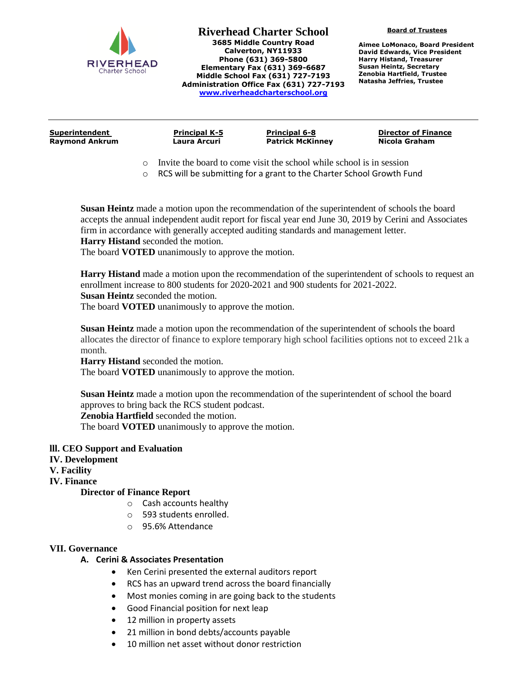

**Riverhead Charter School 3685 Middle Country Road Calverton, NY11933 Phone (631) 369-5800 Elementary Fax (631) 369-6687 Middle School Fax (631) 727-7193 Administration Office Fax (631) 727-7193 [www.riverheadcharterschool.org](http://www.riverheadcharterschool.org/)**

**Board of Trustees**

**Aimee LoMonaco, Board President David Edwards, Vice President Harry Histand, Treasurer Susan Heintz, Secretary Zenobia Hartfield, Trustee Natasha Jeffries, Trustee**

| Superintendent | <b>Principal K-5</b> | <b>Principal 6-8</b>    | <b>Director of Finance</b> |
|----------------|----------------------|-------------------------|----------------------------|
| Raymond Ankrum | Laura Arcuri         | <b>Patrick McKinney</b> | Nicola Graham              |
|                |                      |                         |                            |

- o Invite the board to come visit the school while school is in session
- o RCS will be submitting for a grant to the Charter School Growth Fund

**Susan Heintz** made a motion upon the recommendation of the superintendent of schools the board accepts the annual independent audit report for fiscal year end June 30, 2019 by Cerini and Associates firm in accordance with generally accepted auditing standards and management letter. **Harry Histand** seconded the motion.

The board **VOTED** unanimously to approve the motion.

**Harry Histand** made a motion upon the recommendation of the superintendent of schools to request an enrollment increase to 800 students for 2020-2021 and 900 students for 2021-2022.

**Susan Heintz** seconded the motion.

The board **VOTED** unanimously to approve the motion.

**Susan Heintz** made a motion upon the recommendation of the superintendent of schools the board allocates the director of finance to explore temporary high school facilities options not to exceed 21k a month.

**Harry Histand** seconded the motion.

The board **VOTED** unanimously to approve the motion.

**Susan Heintz** made a motion upon the recommendation of the superintendent of school the board approves to bring back the RCS student podcast.

**Zenobia Hartfield** seconded the motion.

The board **VOTED** unanimously to approve the motion.

- **lll. CEO Support and Evaluation**
- **IV. Development**
- **V. Facility**
- **IV. Finance**

#### **Director of Finance Report**

- o Cash accounts healthy
- o 593 students enrolled.
- o 95.6% Attendance

#### **VII. Governance**

#### **A. Cerini & Associates Presentation**

- Ken Cerini presented the external auditors report
- RCS has an upward trend across the board financially
- Most monies coming in are going back to the students
- Good Financial position for next leap
- 12 million in property assets
- 21 million in bond debts/accounts payable
- 10 million net asset without donor restriction